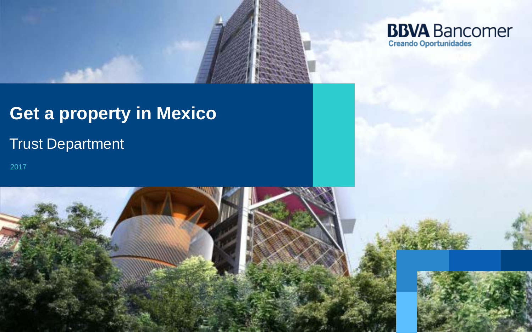

# **Get a property in Mexico**

## Trust Department

2017

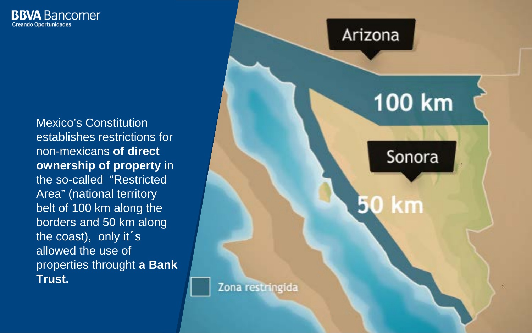

Mexico's Constitution establishes restrictions for non-mexicans **of direct ownership of property** in the so-called "Restricted Area" (national territory belt of 100 km along the borders and 50 km along the coast), only it´s allowed the use of properties throught **a Bank Trust.**

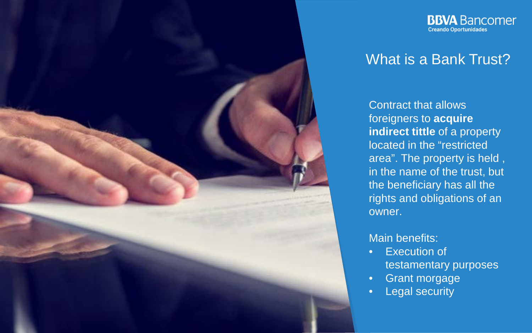

**Creando Oportunidades** 

**BBVA** Bancomer

### What is a Bank Trust?

Contract that allows foreigners to **acquire indirect tittle** of a property located in the "restricted area". The property is held , in the name of the trust, but the beneficiary has all the rights and obligations of an owner.

#### Main benefits:

- Execution of testamentary purposes
- Grant morgage
- **Legal security**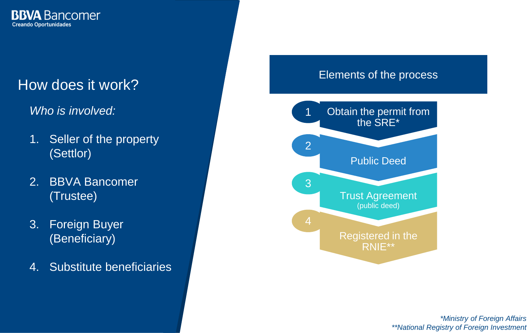

### How does it work?

*Who is involved:*

- 1. Seller of the property (Settlor)
- 2. BBVA Bancomer (Trustee)
- 3. Foreign Buyer (Beneficiary)
- 4. Substitute beneficiaries

#### Elements of the process



*\*Ministry of Foreign Affairs \*\*National Registry of Foreign Investment*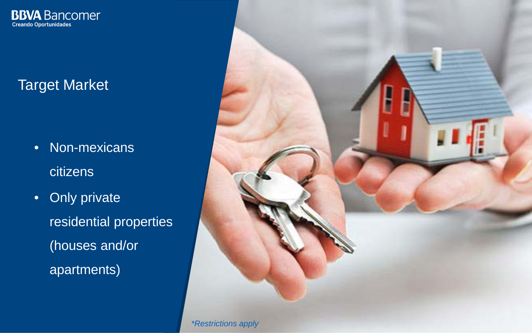

### Target Market

- Non-mexicans **citizens**
- Only private residential properties (houses and/or apartments)

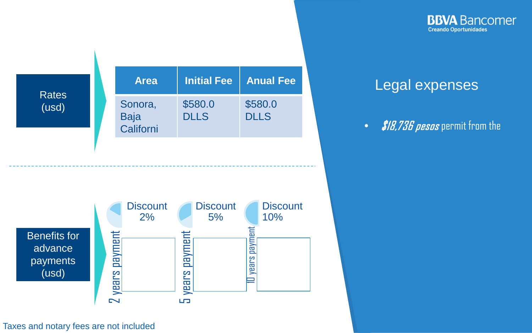**BBVA** Bancomer **Creando Oportunidades** 

### **Rates** (usd)

| <b>Area</b>                         | <b>Initial Fee</b>     | <b>Anual Fee</b>       |
|-------------------------------------|------------------------|------------------------|
| Sonora,<br><b>Baja</b><br>Californi | \$580.0<br><b>DLLS</b> | \$580.0<br><b>DLLS</b> |

### Legal expenses

• *\$18,736 pesos* permit from the



#### Taxes and notary fees are not included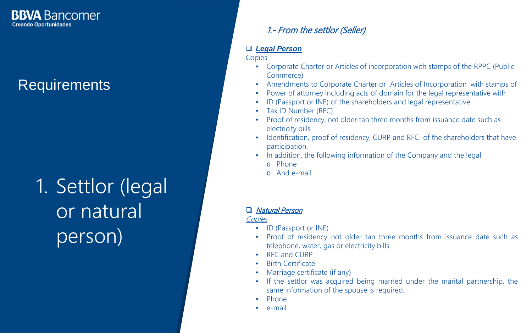**Requirements** 

1. Settlor (legal or natural person)

#### 1.- From the settlor (Seller)

#### *Legal Person*

Copies

- Corporate Charter or Articles of incorporation with stamps of the RPPC (Public Commerce)
- Amendments to Corporate Charter or Articles of Incorporation with stamps of
- Power of attorney including acts of domain for the legal representative with
- ID (Passport or INE) of the shareholders and legal representative
- Tax ID Number (RFC)
- Proof of residency, not older tan three months from issuance date such as electricity bills
- Identification, proof of residency, CURP and RFC of the shareholders that have participation.
- In addition, the following information of the Company and the legal
	- o Phone
	- o And e-mail

#### □ Natural Person

**Copies** 

- ID (Passport or INE)
- Proof of residency not older tan three months from issuance date such as telephone, water, gas or electricity bills
- RFC and CURP
- Birth Certificate
- Marriage certificate (if any)
- If the settlor was acquired being married under the marital partnership, the same information of the spouse is required.
- Phone
- e-mail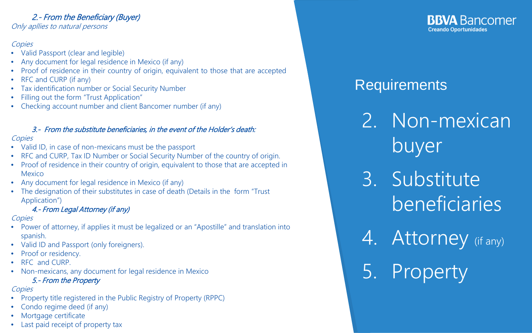#### 2.- From the Beneficiary (Buyer)

Only apllies to natural persons

#### **Copies**

- Valid Passport (clear and legible)
- Any document for legal residence in Mexico (if any)
- Proof of residence in their country of origin, equivalent to those that are accepted
- RFC and CURP (if any)
- Tax identification number or Social Security Number
- Filling out the form "Trust Application"
- Checking account number and client Bancomer number (if any)

#### 3.- From the substitute beneficiaries, in the event of the Holder's death:

#### **Copies**

- Valid ID, in case of non-mexicans must be the passport
- RFC and CURP, Tax ID Number or Social Security Number of the country of origin.
- Proof of residence in their country of origin, equivalent to those that are accepted in Mexico
- Any document for legal residence in Mexico (if any)
- The designation of their substitutes in case of death (Details in the form "Trust Application")

#### 4.- From Legal Attorney (if any)

#### **Copies**

- Power of attorney, if applies it must be legalized or an "Apostille" and translation into spanish.
- Valid ID and Passport (only foreigners).
- Proof or residency.
- RFC and CURP.
- Non-mexicans, any document for legal residence in Mexico

#### 5.- From the Property

#### **Copies**

- Property title registered in the Public Registry of Property (RPPC)
- Condo regime deed (if any)
- Mortgage certificate
- Last paid receipt of property tax

#### **BBVA** Bancomer **Creando Oportunidades**

### **Requirements**

2. Non-mexican buyer

3. Substitute **beneficiaries** 

4. Attorney (if any) 5. Property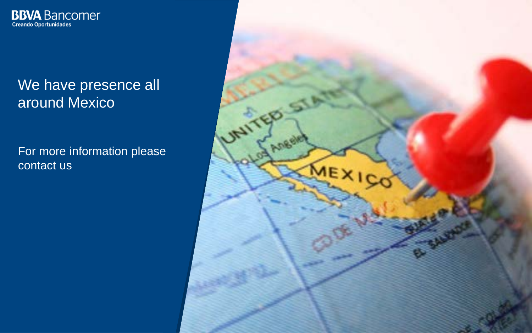

### We have presence all around Mexico

For more information please contact us